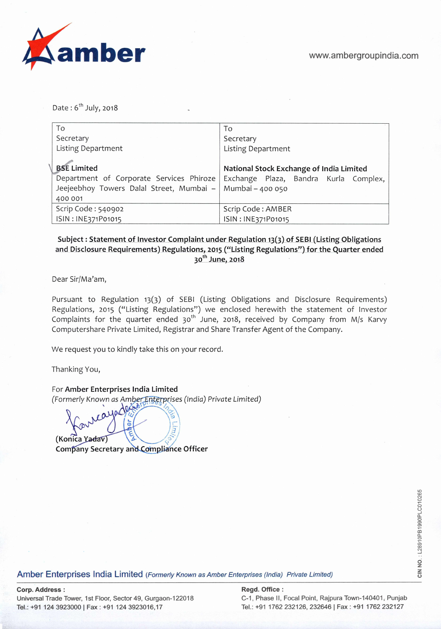

Date:  $6^{th}$  July, 2018

| To                                                        | To                                       |  |  |
|-----------------------------------------------------------|------------------------------------------|--|--|
| Secretary                                                 | Secretary                                |  |  |
| <b>Listing Department</b>                                 | Listing Department                       |  |  |
|                                                           |                                          |  |  |
| <b>BSE Limited</b>                                        | National Stock Exchange of India Limited |  |  |
| Department of Corporate Services Phiroze                  | Exchange Plaza, Bandra Kurla Complex,    |  |  |
| Jeejeebhoy Towers Dalal Street, Mumbai – Mumbai – 400 050 |                                          |  |  |
| 400 001                                                   |                                          |  |  |
| Scrip Code: 540902                                        | Scrip Code: AMBER                        |  |  |
| ISIN: INE371P01015                                        | ISIN: INE371P01015                       |  |  |

# Subject: Statement of Investor Complaint under Regulation 13(3) of SEBI (Listing Obligations and Disclosure Requirements) Regulations, 2015 ("Listing Regulations") for the Quarter ended 30th **June, 2018**

Dear Sir/Ma'am,

Pursuant to Regulation 13(3) of SEBI (Listing Obligations and Disclosure Requirements) Regulations, 2015 ("Listing Regulations") we enclosed herewith the statement of Investor Complaints for the quarter ended  $30<sup>th</sup>$  June, 2018, received by Company from M/s Karvy Computershare Private Limited, Registrar and Share Transfer Agent of the Company.

We request you to kindly take this on your record.

Thanking You,

For **Amber Enterprises India Limited**  (Formerly Known as Amber Enterprises (India) Private Limited)

**(Konka** - . \- f7' **Company Secretary and Compliance Officer** 

Amber Enterprises India Limited (Formerly Known as Amber Enterprises (India) Private Limited)

# **Corp. Address: Regd. Office: Regd. Office: Regd. Office: Regd. Office: Regd. Office: Regd. Office: Regd. Office: Regd. Office: Regd. Office: Regd. Office: Regd. Office: Regd. Office: Regd. Office**

Universal Trade Tower, 1st Floor, Sector 49, Gurgaon-122018 C-1, Phase II, Focal Point, Rajpura Town-140401, Punjab Tel.: +91 124 3923000 I **Fax :** +91 124 3923016,17 Tel.: +91 1762 232126, 232646 I Fax: ~91 1762 232127